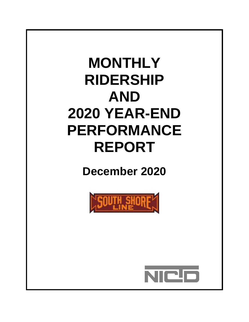# **MONTHLY RIDERSHIP AND 2020 YEAR-END PERFORMANCE REPORT**

**December 2020**



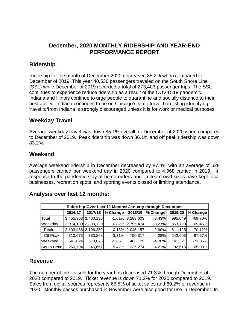### **December, 2020 MONTHLY RIDERSHIP AND YEAR-END PERFORMANCE REPORT**

### **Ridership**

Ridership for the month of December 2020 decreased 85.2% when compared to December of 2019. This year 40,536 passengers traveled on the South Shore Line (SSL) while December of 2019 recorded a total of 273,403 passenger trips. The SSL continues to experience reduce ridership as a result of the COVID-19 pandemic. Indiana and Illinois continue to urge people to quarantine and socially distance to their best ability. Indiana continues to be on Chicago's state travel ban listing identifying travel to/from Indiana is strongly discouraged unless it is for work or medical purposes.

### **Weekday Travel**

Average weekday travel was down 85.1% overall for December of 2020 when compared to December of 2019. Peak ridership was down 86.1% and off peak ridership was down 83.2%.

### **Weekend**

Average weekend ridership in December decreased by 87.4% with an average of 628 passengers carried per weekend day in 2020 compared to 4,968 carried in 2019. In response to the pandemic stay at home orders and limited crowd sizes have kept local businesses, recreation spots, and sporting events closed or limiting attendance.

| Ridership Over Last 12 Months: January through December |         |                     |           |                     |           |         |            |  |  |  |
|---------------------------------------------------------|---------|---------------------|-----------|---------------------|-----------|---------|------------|--|--|--|
|                                                         | 2016/17 | 2017/18             | % Change  | 2018/19             | % Change  | 2019/20 | $%$ Change |  |  |  |
| Total                                                   |         | 3,455,963 3,400,196 |           | $-1.61\%$ 3,283,603 | $-3.43\%$ | 995,049 | $-69.70\%$ |  |  |  |
| Weekday                                                 |         | 2,914,139 2,890,120 |           | $-0.82\%$ 2,795,474 | $-3.27\%$ | 853,728 | $-69.46\%$ |  |  |  |
| Peak                                                    |         | 2,103,466 2,106,252 |           | $0.13\%$ 2,045,157  | $-2.90\%$ | 611,125 | $-70.12\%$ |  |  |  |
| Off Peak                                                | 810,673 | 783,868             | $-3.31\%$ | 750,317             | $-4.28%$  | 242,603 | $-67.67\%$ |  |  |  |
| Meekend                                                 | 541,824 | 510.076             | $-5.86\%$ | 488.129             | $-4.30\%$ | 141,321 | $-71.05\%$ |  |  |  |
| South Bend                                              | 260,794 | 246,661             | $-5.42%$  | 236,274             | $-4.21%$  | 82,616  | $-65.03\%$ |  |  |  |

### **Analysis over last 12 months:**

### **Revenue**

The number of tickets sold for the year has decreased 71.3% through December of 2020 compared to 2019. Ticket revenue is down 71.2% for 2020 compared to 2019. Sales from digital sources represents 65.5% of ticket sales and 69.2% of revenue in 2020. Monthly passes purchased in November were also good for use in December. In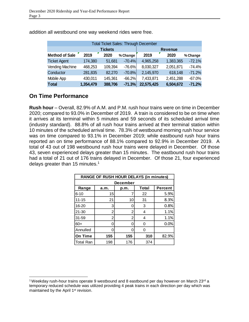| <b>Total Ticket Sales: Through December</b> |                |         |          |            |           |          |  |  |  |  |
|---------------------------------------------|----------------|---------|----------|------------|-----------|----------|--|--|--|--|
|                                             | <b>Revenue</b> |         |          |            |           |          |  |  |  |  |
| <b>Method of Sale</b>                       | 2019           | 2020    | % Change | 2019       | 2020      | % Change |  |  |  |  |
| <b>Ticket Agent</b>                         | 174,380        | 51,681  | $-70.4%$ | 4,965,258  | 1,383,365 | $-72.1%$ |  |  |  |  |
| Vending Machine                             | 468,253        | 109,394 | $-76.6%$ | 8,030,327  | 2,051,871 | $-74.4%$ |  |  |  |  |
| Conductor                                   | 281,835        | 82,270  | $-70.8%$ | 2,145,970  | 618,148   | $-71.2%$ |  |  |  |  |
| Mobile App                                  | 430,011        | 145,361 | $-66.2%$ | 7,433,871  | 2,451,288 | $-67.0%$ |  |  |  |  |
| <b>Total</b>                                | 1,354,479      | 388,706 | $-71.3%$ | 22,575,425 | 6,504,672 | $-71.2%$ |  |  |  |  |

addition all westbound one way weekend rides were free.

### **On Time Performance**

 $\overline{\phantom{a}}$ 

**Rush hour** – Overall, 82.9% of A.M. and P.M. rush hour trains were on time in December 2020; compared to 93.0% in December of 2019. A train is considered to be on time when it arrives at its terminal within 5 minutes and 59 seconds of its scheduled arrival time (industry standard). 88.8% of all rush hour trains arrived at their terminal station within 10 minutes of the scheduled arrival time. 78.3% of westbound morning rush hour service was on time compared to 93.1% in December 2019; while eastbound rush hour trains reported an on time performance of 88.1% compared to 92.9% in December 2019. A total of 43 out of 198 westbound rush hour trains were delayed in December. Of those 43, seven experienced delays greater than 15 minutes. The eastbound rush hour trains had a total of 21 out of 176 trains delayed in December. Of those 21, four experienced delays greater than 15 minutes.<sup>1</sup>

| <b>RANGE OF RUSH HOUR DELAYS (in minutes)</b> |                                         |     |     |       |  |  |  |  |  |  |
|-----------------------------------------------|-----------------------------------------|-----|-----|-------|--|--|--|--|--|--|
| <b>December</b>                               |                                         |     |     |       |  |  |  |  |  |  |
| Range                                         | Total<br><b>Percent</b><br>a.m.<br>p.m. |     |     |       |  |  |  |  |  |  |
| $6 - 10$                                      | 15                                      |     | 22  | 5.9%  |  |  |  |  |  |  |
| $11 - 15$                                     | 21                                      | 10  | 31  | 8.3%  |  |  |  |  |  |  |
| 16-20                                         | 3                                       |     | 3   | 0.8%  |  |  |  |  |  |  |
| $21 - 30$                                     | 2                                       | 2   | 4   | 1.1%  |  |  |  |  |  |  |
| $31 - 59$                                     | 2                                       | 2   | 4   | 1.1%  |  |  |  |  |  |  |
| 60+                                           | 0                                       |     | 0   | 0.0%  |  |  |  |  |  |  |
| Annulled                                      | Ω                                       |     | 0   |       |  |  |  |  |  |  |
| On Time                                       | 155                                     | 155 | 310 | 82.9% |  |  |  |  |  |  |
| <b>Total Ran</b>                              | 198                                     | 176 | 374 |       |  |  |  |  |  |  |

<sup>&</sup>lt;sup>1</sup>Weekday rush-hour trains operate 9 westbound and 8 eastbound per day however on March 23<sup>rd</sup> a temporary reduced schedule was utilized providing 4 peak trains in each direction per day which was maintained by the April 1<sup>st</sup> revision.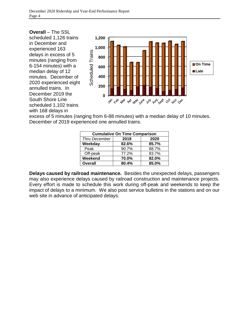**Overall** – The SSL scheduled 1,126 trains in December and experienced 163 delays in excess of 5 minutes (ranging from 6-154 minutes) with a median delay of 12 minutes. December of 2020 experienced eight annulled trains. In December 2019 the South Shore Line scheduled 1,102 trains with 168 delays in



excess of 5 minutes (ranging from 6-88 minutes) with a median delay of 10 minutes. December of 2019 experienced one annulled trains.

| <b>Cumulative On Time Comparison</b> |       |       |  |  |  |  |  |
|--------------------------------------|-------|-------|--|--|--|--|--|
| Thru December                        | 2019  | 2020  |  |  |  |  |  |
| Weekday                              | 82.6% | 85.7% |  |  |  |  |  |
| Peak                                 | 90.7% | 88.7% |  |  |  |  |  |
| Off-peak                             | 77.2% | 83.7% |  |  |  |  |  |
| Weekend                              | 70.0% | 82.0% |  |  |  |  |  |
| <b>Overall</b>                       | 80.4% | 85.0% |  |  |  |  |  |

**Delays caused by railroad maintenance.** Besides the unexpected delays, passengers may also experience delays caused by railroad construction and maintenance projects. Every effort is made to schedule this work during off-peak and weekends to keep the impact of delays to a minimum. We also post service bulletins in the stations and on our web site in advance of anticipated delays.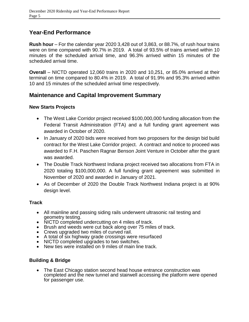### **Year-End Performance**

**Rush hour** – For the calendar year 2020 3,428 out of 3,863, or 88.7%, of rush hour trains were on time compared with 90.7% in 2019. A total of 93.5% of trains arrived within 10 minutes of the scheduled arrival time, and 96.3% arrived within 15 minutes of the scheduled arrival time.

**Overall** – NICTD operated 12,060 trains in 2020 and 10,251, or 85.0% arrived at their terminal on time compared to 80.4% in 2019. A total of 91.9% and 95.3% arrived within 10 and 15 minutes of the scheduled arrival time respectively.

### **Maintenance and Capital Improvement Summary**

### **New Starts Projects**

- The West Lake Corridor project received \$100,000,000 funding allocation from the Federal Transit Administration (FTA) and a full funding grant agreement was awarded in October of 2020.
- In January of 2020 bids were received from two proposers for the design bid build contract for the West Lake Corridor project. A contract and notice to proceed was awarded to F.H. Paschen Ragnar Benson Joint Venture in October after the grant was awarded.
- The Double Track Northwest Indiana project received two allocations from FTA in 2020 totaling \$100,000,000. A full funding grant agreement was submitted in November of 2020 and awarded in January of 2021.
- As of December of 2020 the Double Track Northwest Indiana project is at 90% design level.

### **Track**

- All mainline and passing siding rails underwent ultrasonic rail testing and geometry testing.
- NICTD completed undercutting on 4 miles of track.
- Brush and weeds were cut back along over 75 miles of track.
- Crews upgraded two miles of curved rail.
- A total of six highway grade crossings were resurfaced
- NICTD completed upgrades to two switches.
- New ties were installed on 9 miles of main line track.

### **Building & Bridge**

 The East Chicago station second head house entrance construction was completed and the new tunnel and stairwell accessing the platform were opened for passenger use.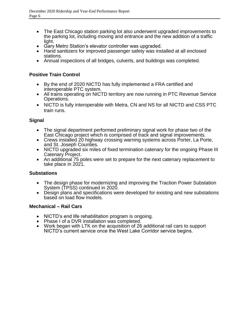- The East Chicago station parking lot also underwent upgraded improvements to the parking lot, including moving and entrance and the new addition of a traffic light.
- Gary Metro Station's elevator controller was upgraded.
- Hand sanitizers for improved passenger safety was installed at all enclosed stations.
- Annual inspections of all bridges, culverts, and buildings was completed.

### **Positive Train Control**

- By the end of 2020 NICTD has fully implemented a FRA certified and interoperable PTC system.
- All trains operating on NICTD territory are now running in PTC Revenue Service Operations.
- NICTD is fully interoperable with Metra, CN and NS for all NICTD and CSS PTC train runs.

### **Signal**

- The signal department performed preliminary signal work for phase two of the East Chicago project which is comprised of track and signal improvements.
- Crews installed 20 highway crossing warning systems across Porter, La Porte, and St. Joseph Counties.
- NICTD upgraded six miles of fixed termination catenary for the ongoing Phase III Catenary Project.
- An additional 75 poles were set to prepare for the next catenary replacement to take place in 2021.

### **Substations**

- The design phase for modernizing and improving the Traction Power Substation System (TPSS) continued in 2020.
- Design plans and specifications were developed for existing and new substations based on load flow models.

### **Mechanical – Rail Cars**

- NICTD's end life rehabilitation program is ongoing.
- Phase I of a DVR installation was completed.
- Work began with LTK on the acquisition of 26 additional rail cars to support NICTD's current service once the West Lake Corridor service begins.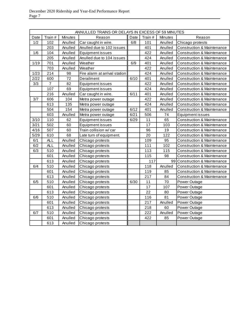|      |                |         | ANNULLED TRAINS OR DELAYS IN EXCESS OF 59 MINUTES |      |         |         |                                       |
|------|----------------|---------|---------------------------------------------------|------|---------|---------|---------------------------------------|
| Date | Train #        | Minutes | Reason                                            | Date | Train # | Minutes | Reason                                |
| 1/2  | 102            | Anulled | Car caught in wire.                               | 6/8  | 101     | Anulled | Chicago protests                      |
|      | 203            | Anulled | Anulled due to 102 issues                         |      | 401     | Anulled | <b>Construction &amp; Maintenance</b> |
| 1/6  | 104            | Anulled | Equipment issues                                  |      | 422     | Anulled | <b>Construction &amp; Maintenance</b> |
|      | 205            | Anulled | Anulled due to 104 issues                         |      | 424     | Anulled | Construction & Maintenance            |
| 1/19 | 701            | Anulled | Weather                                           | 6/9  | 401     | Anulled | <b>Construction &amp; Maintenance</b> |
|      | 703            | Anulled | Weather                                           |      | 422     | Anulled | Construction & Maintenance            |
| 1/23 | 214            | 98      | Fire alarm at arrival station                     |      | 424     | Anulled | Construction & Maintenance            |
| 2/22 | 600            | 72      | Derailment                                        | 6/10 | 401     | Anulled | Construction & Maintenance            |
| 3/3  | $\overline{7}$ | 82      | Equipment issues                                  |      | 422     | Anulled | <b>Construction &amp; Maintenance</b> |
|      | 107            | 69      | Equipment issues                                  |      | 424     | Anulled | <b>Construction &amp; Maintenance</b> |
|      | 216            | Anulled | Car caught in wire.                               | 6/11 | 401     | Anulled | <b>Construction &amp; Maintenance</b> |
| 3/7  | 606            | 104     | Metra power outage                                |      | 422     | Anulled | <b>Construction &amp; Maintenance</b> |
|      | 613            | 135     | Metra power outage                                |      | 424     | Anulled | <b>Construction &amp; Maintenance</b> |
|      | 504            | 154     | Metra power outage                                | 6/12 | 401     | Anulled | <b>Construction &amp; Maintenance</b> |
|      | 603            | Anulled | Metra power outage                                | 6/21 | 506     | 74      | Equipment issues                      |
| 3/10 | 110            | 62      | Equipment issues                                  | 6/29 | 11      | 65      | <b>Construction &amp; Maintenance</b> |
| 3/21 | 502            | 60      | Equipment issues                                  |      | 17      | 103     | Construction & Maintenance            |
| 4/16 | 507            | 60      | Train collision w/ car                            |      | 96      | 19      | <b>Construction &amp; Maintenance</b> |
| 5/29 | 610            | 68      | Late turn of equipment.                           |      | 20      | 122     | Construction & Maintenance            |
| 6/1  | <b>ALL</b>     | Anulled | Chicago protests                                  |      | 109     | 95      | Construction & Maintenance            |
| 6/2  | <b>ALL</b>     | Anulled | Chicago protests                                  |      | 111     | 102     | Construction & Maintenance            |
| 6/3  | 510            | Anulled | Chicago protests                                  |      | 113     | 115     | Construction & Maintenance            |
|      | 601            | Anulled | Chicago protests                                  |      | 115     | 98      | <b>Construction &amp; Maintenance</b> |
|      | 613            | Anulled | Chicago protests                                  |      | 117     |         | 99 Construction & Maintenance         |
| 6/4  | 510            | Anulled | Chicago protests                                  |      | 118     | Anulled | Construction & Maintenance            |
|      | 601            | Anulled | Chicago protests                                  |      | 119     | 85      | Construction & Maintenance            |
|      | 613            | Anulled | Chicago protests                                  |      | 217     | 84      | Construction & Maintenance            |
| 6/5  | 510            | Anulled | Chicago protests                                  | 6/30 | 11      | 70      | Power Outage                          |
|      | 601            | Anulled | Chicago protests                                  |      | 17      | 107     | Power Outage                          |
|      | 613            | Anulled | Chicago protests                                  |      | 22      | 80      | Power Outage                          |
| 6/6  | 510            | Anulled | Chicago protests                                  |      | 116     | 81      | Power Outage                          |
|      | 601            | Anulled | Chicago protests                                  |      | 217     | Anulled | Power Outage                          |
|      | 613            | Anulled | Chicago protests                                  |      | 218     | 60      | Power Outage                          |
| 6/7  | 510            | Anulled | Chicago protests                                  |      | 222     | Anulled | Power Outage                          |
|      | 601            | Anulled | Chicago protests                                  |      | 422     | 85      | Power Outage                          |
|      | 613            | Anulled | Chicago protests                                  |      |         |         |                                       |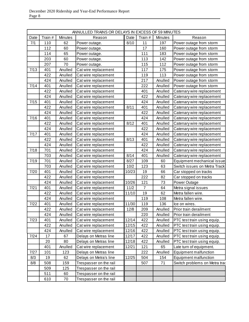|      | ANNULLED TRAINS OR DELAYS IN EXCESS OF 59 MINUTES |         |                        |       |                |         |                               |  |  |
|------|---------------------------------------------------|---------|------------------------|-------|----------------|---------|-------------------------------|--|--|
| Date | Train #                                           | Minutes | Reason                 | Date  | Train #        | Minutes | Reason                        |  |  |
| 7/1  | 110                                               | 62      | Power outage.          | 8/10  | 11             | 197     | Power outage from storm       |  |  |
|      | 112                                               | 60      | Power outage.          |       | 17             | 160     | Power outage from storm       |  |  |
|      | 114                                               | 65      | Power outage.          |       | 111            | 183     | Power outage from storm       |  |  |
|      | 203                                               | 60      | Power outage.          |       | 113            | 142     | Power outage from storm       |  |  |
|      | 207                                               | 70      | Power outage.          |       | 115            | 112     | Power outage from storm       |  |  |
| 7/13 | 401                                               | Anulled | Cat wire replacement   |       | 117            | 175     | Power outage from storm       |  |  |
|      | 422                                               | Anulled | Cat wire replacement   |       | 119            | 113     | Power outage from storm       |  |  |
|      | 424                                               | Anulled | Cat wire replacement   |       | 217            | Anulled | Power outage from storm       |  |  |
| 7/14 | 401                                               | Anulled | Cat wire replacement   |       | 222            | Anulled | Power outage from storm       |  |  |
|      | 422                                               | Anulled | Cat wire replacement   |       | 401            | Anulled | Catenary wire replacement     |  |  |
|      | 424                                               | Anulled | Cat wire replacement   |       | 422            | Anulled | Catenary wire replacement     |  |  |
| 7/15 | 401                                               | Anulled | Cat wire replacement   |       | 424            | Anulled | Catenary wire replacement     |  |  |
|      | 422                                               | Anulled | Cat wire replacement   | 8/11  | 401            | Anulled | Catenary wire replacement     |  |  |
|      | 424                                               | Anulled | Cat wire replacement   |       | 422            | Anulled | Catenary wire replacement     |  |  |
| 7/16 | 401                                               | Anulled | Cat wire replacement   |       | 424            | Anulled | Catenary wire replacement     |  |  |
|      | 422                                               | Anulled | Cat wire replacement   | 8/12  | 401            | Anulled | Catenary wire replacement     |  |  |
|      | 424                                               | Anulled | Cat wire replacement   |       | 422            | Anulled | Catenary wire replacement     |  |  |
| 7/17 | 401                                               | Anulled | Cat wire replacement   |       | 424            | Anulled | Catenary wire replacement     |  |  |
|      | 422                                               | Anulled | Cat wire replacement   | 8/13  | 401            | Anulled | Catenary wire replacement     |  |  |
|      | 424                                               | Anulled | Cat wire replacement   |       | 422            | Anulled | Catenary wire replacement     |  |  |
| 7/18 | 701                                               | Anulled | Cat wire replacement   |       | 424            | Anulled | Catenary wire replacement     |  |  |
|      | 703                                               | Anulled | Cat wire replacement   | 8/14  | 401            | Anulled | Catenary wire replacement     |  |  |
| 7/19 | 701                                               | Anulled | Cat wire replacement   | 8/27  | 109            | 60      | Equipment mechanical issue    |  |  |
|      | 703                                               | Anulled | Cat wire replacement   | 10/2  | 123            | 63      | Switch issues on Metra Track  |  |  |
| 7/20 | 401                                               | Anulled | Cat wire replacement   | 10/23 | 19             | 66      | Car stopped on tracks         |  |  |
|      | 422                                               | Anulled | Cat wire replacement   |       | 222            | 82      | Car stopped on tracks         |  |  |
|      | 424                                               | Anulled | Cat wire replacement   | 10/26 | 121            | 73      | Power Outage                  |  |  |
| 7/21 | 401                                               | Anulled | Cat wire replacement   | 11/2  | $\overline{7}$ | 64      | Metra signal issues           |  |  |
|      | 422                                               | Anulled | Cat wire replacement   | 11/10 | 19             | 62      | Metra fallen wire.            |  |  |
|      | 424                                               | Anulled | Cat wire replacement   |       | 119            | 108     | Metra fallen wire.            |  |  |
| 7/22 | 401                                               | Anulled | Cat wire replacement   | 11/30 | 119            | 136     | Ice on wires.                 |  |  |
|      | 422                                               | Anulled | Cat wire replacement   | 12/8  | 209            | Anulled | Prior train derailment        |  |  |
|      | 424                                               | Anulled | Cat wire replacement   |       | 220            | Anulled | Prior train derailment        |  |  |
| 7/23 | 401                                               | Anulled | Cat wire replacement   | 12/14 | 422            | Anulled | PTC test train using equip.   |  |  |
|      | 422                                               | Anulled | Cat wire replacement   | 12/15 | 422            | Anulled | PTC test train using equip.   |  |  |
|      | 424                                               | Anulled | Cat wire replacement   | 12/16 | 422            | Anulled | PTC test train using equip.   |  |  |
| 7/24 | 17                                                | 67      | Delays on Metras line  | 12/17 | 422            | Anulled | PTC test train using equip.   |  |  |
|      | 20                                                | 80      | Delays on Metras line  | 12/18 | 422            | Anulled | PTC test train using equip.   |  |  |
|      | 401                                               | Anulled | Cat wire replacement   | 12/21 | 121            | 65      | Late turn of equipment.       |  |  |
| 7/27 | 101                                               | 123     | Delays on Metras line  |       | 222            | Anulled | Equipment malfunction         |  |  |
| 8/3  | 19                                                | 62      | Delays on Metra's line | 12/25 | 504            | 154     | Equipment malfunction         |  |  |
| 8/8  | 508                                               | 159     | Trespasser on the rail |       | 507            | 71      | Switch problems on Metra trac |  |  |
|      | 509                                               | 125     | Trespasser on the rail |       |                |         |                               |  |  |
|      | 511                                               | 60      | Trespasser on the rail |       |                |         |                               |  |  |
|      | 610                                               | 70      | Trespasser on the rail |       |                |         |                               |  |  |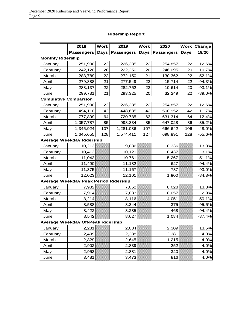|                          | 2018                                  | <b>Work</b> | 2019              | <b>Work</b> | 2020              | <b>Work</b> | Change    |
|--------------------------|---------------------------------------|-------------|-------------------|-------------|-------------------|-------------|-----------|
|                          | <b>Passengers</b>                     | Days        | <b>Passengers</b> | Days        | <b>Passengers</b> | <b>Days</b> | 19/20     |
| <b>Monthly Ridership</b> |                                       |             |                   |             |                   |             |           |
| January                  | 251,990                               | 22          | 226,385           | 22          | 254,857           | 22          | 12.6%     |
| February                 | 242,120                               | 20          | 222,250           | 20          | 246,095           | 20          | 10.7%     |
| March                    | 283,789                               | 22          | 272,150           | 21          | 130,362           | 22          | $-52.1%$  |
| April                    | 279,888                               | 21          | 277,549           | 22          | 15,714            | 22          | $-94.3%$  |
| May                      | 288,137                               | 22          | 282,752           | 22          | 19,614            | 20          | $-93.1%$  |
| June                     | 299,731                               | 21          | 293,325           | 20          | 32,249            | 22          | $-89.0\%$ |
|                          | <b>Cumulative Comparison</b>          |             |                   |             |                   |             |           |
| January                  | 251,990                               | 22          | 226,385           | 22          | 254,857           | 22          | 12.6%     |
| February                 | 494,110                               | 42          | 448,635           | 42          | 500,952           | 42          | 11.7%     |
| March                    | 777,899                               | 64          | 720,785           | 63          | 631,314           | 64          | $-12.4%$  |
| April                    | 1,057,787                             | 85          | 998,334           | 85          | 647,028           | 86          | $-35.2%$  |
| May                      | 1,345,924                             | 107         | 1,281,086         | 107         | 666,642           | 106         | $-48.0%$  |
| June                     | 1,645,655                             | 128         | 1,574,411         | 127         | 698,891           | 128         | $-55.6%$  |
|                          | Average Weekday Ridership             |             |                   |             |                   |             |           |
| January                  | 10,213                                |             | 9,086             |             | 10,336            |             | 13.8%     |
| February                 | 10,413                                |             | 10,121            |             | 10,437            |             | 3.1%      |
| March                    | 11,043                                |             | 10,761            |             | 5,267             |             | $-51.1%$  |
| April                    | 11,490                                |             | 11,182            |             | 627               |             | $-94.4%$  |
| May                      | 11,375                                |             | 11,167            |             | 787               |             | $-93.0%$  |
| June                     | 12,023                                |             | 12,101            |             | 1,900             |             | $-84.3%$  |
|                          | Average Weekday Peak Period Ridership |             |                   |             |                   |             |           |
| January                  | 7,982                                 |             | 7,052             |             | 8,028             |             | 13.8%     |
| February                 | 7,914                                 |             | 7,833             |             | 8,057             |             | 2.9%      |
| March                    | 8,214                                 |             | 8,116             |             | 4,051             |             | $-50.1%$  |
| April                    | 8,588                                 |             | 8,344             |             | 375               |             | $-95.5%$  |
| May                      | 8,422                                 |             | 8,285             |             | 468               |             | $-94.4%$  |
| June                     | 8,542                                 |             | 8,627             |             | 1,084             |             | $-87.4%$  |
|                          | Average Weekday Off-Peak Ridership    |             |                   |             |                   |             |           |
| January                  | 2,231                                 |             | 2,034             |             | 2,309             |             | 13.5%     |
| February                 | 2,499                                 |             | 2,288             |             | 2,381             |             | 4.0%      |
| March                    | 2,829                                 |             | 2,645             |             | 1,215             |             | 4.0%      |
| April                    | 2,902                                 |             | 2,839             |             | 252               |             | 4.0%      |
| May                      | 2,953                                 |             | 2,881             |             | 320               |             | 4.0%      |
| June                     | 3,481                                 |             | 3,473             |             | 816               |             | 4.0%      |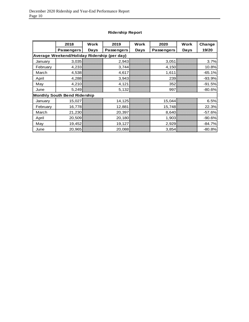|          | 2018                                        | <b>Work</b> | 2019              | Work | 2020              | Work | Change   |  |  |
|----------|---------------------------------------------|-------------|-------------------|------|-------------------|------|----------|--|--|
|          | <b>Passengers</b>                           | Days        | <b>Passengers</b> | Days | <b>Passengers</b> | Days | 19/20    |  |  |
|          | Average Weekend/Holiday Ridership (per day) |             |                   |      |                   |      |          |  |  |
| January  | 3,035                                       |             | 2,943             |      | 3,051             |      | 3.7%     |  |  |
| February | 4,233                                       |             | 3,744             |      | 4,150             |      | 10.8%    |  |  |
| March    | 4,538                                       |             | 4,617             |      | 1,611             |      | $-65.1%$ |  |  |
| April    | 4,288                                       |             | 3,943             |      | 239               |      | $-93.9%$ |  |  |
| May      | 4,210                                       |             | 4,121             |      | 352               |      | $-91.5%$ |  |  |
| June     | 5,249                                       |             | 5,132             |      | 997               |      | $-80.6%$ |  |  |
|          | <b>Monthly South Bend Ridership</b>         |             |                   |      |                   |      |          |  |  |
| January  | 15,027                                      |             | 14,125            |      | 15,044            |      | 6.5%     |  |  |
| February | 16,778                                      |             | 12,881            |      | 15,748            |      | 22.3%    |  |  |
| March    | 21,230                                      |             | 20,397            |      | 8,640             |      | $-57.6%$ |  |  |
| April    | 20,509                                      |             | 20,180            |      | 1,903             |      | $-90.6%$ |  |  |
| May      | 19,452                                      |             | 19,127            |      | 2,929             |      | $-84.7%$ |  |  |
| June     | 20,965                                      |             | 20,088            |      | 3,854             |      | $-80.8%$ |  |  |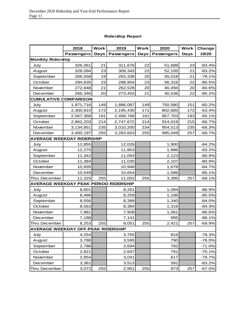|                                              | 2018              | Work        | 2019              | <b>Work</b> | 2020              | <b>Work</b> | Change   |
|----------------------------------------------|-------------------|-------------|-------------------|-------------|-------------------|-------------|----------|
|                                              | <b>Passengers</b> | <b>Days</b> | <b>Passengers</b> | <b>Days</b> | <b>Passengers</b> | <b>Days</b> | 19/20    |
| <b>Monthly Ridership</b>                     |                   |             |                   |             |                   |             |          |
| July                                         | 326,061           | 21          | 311,676           | 22          | 51,689            | 23          | $-83.4%$ |
| August                                       | 329,094           | 23          | 309,343           | 22          | 52,105            | 21          | $-83.2%$ |
| September                                    | 266,558           | 19          | 263,338           | 20          | 55,018            | 21          | $-79.1%$ |
| October                                      | 294,835           | 23          | 288,904           | 23          | 56,316            | 22          | $-80.5%$ |
| November                                     | 272,648           | 21          | 262,528           | 20          | 40,494            | 20          | $-84.6%$ |
| December                                     | 265,346           | 20          | 273,403           | 21          | 40,536            | 22          | $-85.2%$ |
| <b>CUMULATIVE COMPARISON</b>                 |                   |             |                   |             |                   |             |          |
| July                                         | 1,971,716         | 149         | 1,886,087         | 149         | 750,580           | 151         | $-60.2%$ |
| August                                       | 2,300,810         | 172         | 2,195,430         | 171         | 802,685           | 172         | $-63.4%$ |
| September                                    | 2,567,368         | 191         | 2,458,768         | 191         | 857,703           | 193         | $-65.1%$ |
| October                                      | 2,862,203         | 214         | 2,747,672         | 214         | 914,019           | 215         | $-66.7%$ |
| November                                     | 3,134,851         | 235         | 3,010,200         | 234         | 954,513           | 235         | $-68.3%$ |
| December                                     | 3,400,197         | 255         | 3,283,603         | 255         | 995,049           | 257         | $-69.7%$ |
| <b>AVERAGE WEEKDAY RIDERSHIP</b>             |                   |             |                   |             |                   |             |          |
| July                                         | 12,855            |             | 12,026            |             | 1,900             |             | $-84.2%$ |
| August                                       | 12,275            |             | 11,853            |             | 1,986             |             | $-83.2%$ |
| September                                    | 11,342            |             | 11,093            |             | 2,123             |             | $-80.9%$ |
| October                                      | 11,384            |             | 11,030            |             | 2,107             |             | $-80.9%$ |
| November                                     | 10,935            |             | 10,948            |             | 1,678             |             | $-84.7%$ |
| December                                     | 10,549            |             | 10,654            |             | 1,586             |             | $-85.1%$ |
| Thru December                                | 11,325            | 255         | 11,002            | 255         | 3,395             | 257         | $-69.1%$ |
| <b>AVERAGE WEEKDAY PEAK PERIOD RIDERSHIP</b> |                   |             |                   |             |                   |             |          |
| July                                         | 8,601             |             | 8,261             |             | 1,084             |             | $-86.9%$ |
| August                                       | 8,486             |             | 8,259             |             | 1,196             |             | $-85.5%$ |
| September                                    | 8,556             |             | 8,399             |             | 1,340             |             | $-84.0%$ |
| October                                      | 8,563             |             | 8,384             |             | 1,316             |             | $-84.3%$ |
| November                                     | 7,981             |             | 7,908             |             | 1,061             |             | $-86.6%$ |
| December                                     | 7,188             |             | 7,141             |             | 995               |             | $-86.1%$ |
| Thru December                                | 8,253             | 255         | 8,051             | 255         | 2,421             | 257         | $-69.9%$ |
| <b>AVERAGE WEEKDAY OFF-PEAK RIDERSHIP</b>    |                   |             |                   |             |                   |             |          |
| July                                         | 4,254             |             | 3,765             |             | 816               |             | $-78.3%$ |
| August                                       | 3,788             |             | 3,595             |             | 790               |             | $-78.0%$ |
| September                                    | 2,786             |             | 2,694             |             | 782               |             | $-71.0%$ |
| October                                      | 2,821             |             | 2,647             |             | 791               |             | $-70.1%$ |
| November                                     | 2,954             |             | 3,041             |             | 617               |             | -79.7%   |
| December                                     | 3,361             |             | 3,513             |             | 591               |             | $-83.2%$ |
| Thru December                                | 3,072             | 255         | 2,951             | 255         | 973               | 257         | $-67.0%$ |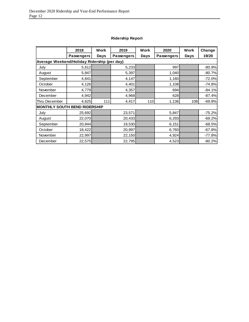|                                             | 2018              | Work | 2019              | <b>Work</b> | 2020              | <b>Work</b> | Change   |
|---------------------------------------------|-------------------|------|-------------------|-------------|-------------------|-------------|----------|
|                                             | <b>Passengers</b> | Days | <b>Passengers</b> | Days        | <b>Passengers</b> | Days        | 19/20    |
| Average Weekend/Holiday Ridership (per day) |                   |      |                   |             |                   |             |          |
| July                                        | 5,612             |      | 5,233             |             | 997               |             | $-80.9%$ |
| August                                      | 5,847             |      | 5,397             |             | 1,040             |             | $-80.7%$ |
| September                                   | 4,641             |      | 4,147             |             | 1,160             |             | $-72.0%$ |
| October                                     | 4,126             |      | 4,401             |             | 1,108             |             | $-74.8%$ |
| November                                    | 4,779             |      | 4,357             |             | 694               |             | $-84.1%$ |
| December                                    | 4,942             |      | 4,968             |             | 628               |             | $-87.4%$ |
| Thru December                               | 4,625             | 111  | 4,417             | 110         | 1,136             | 108         | $-69.8%$ |
| <b>MONTHLY SOUTH BEND RIDERSHIP</b>         |                   |      |                   |             |                   |             |          |
| July                                        | 25,692            |      | 23,571            |             | 5,847             |             | $-75.2%$ |
| August                                      | 22,070            |      | 20,433            |             | 6,293             |             | $-69.2%$ |
| September                                   | 20,944            |      | 19,530            |             | 6,151             |             | $-68.5%$ |
| October                                     | 18,422            |      | 20,997            |             | 6,760             |             | $-67.8%$ |
| November                                    | 22,997            |      | 22,150            |             | 4,924             |             | $-77.8%$ |
| December                                    | 22,575            |      | 22,795            |             | 4,523             |             | $-80.2%$ |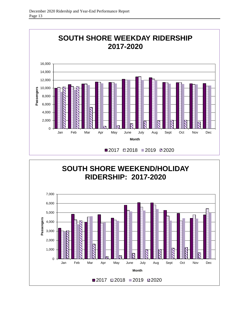

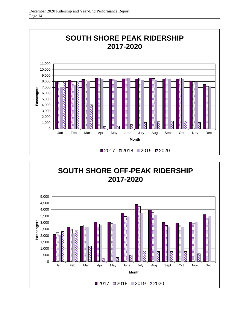

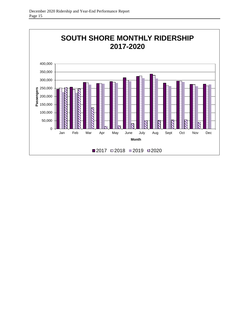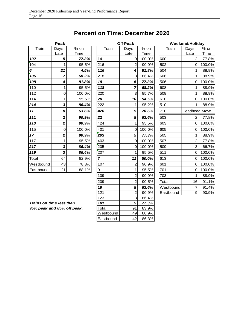## **Percent on Time: December 2020**

|           | Peak                    |        |
|-----------|-------------------------|--------|
| Train     | Days                    | % on   |
|           | Late                    | Time   |
| 102       | 5                       | 77.3%  |
| 104       | 1                       | 95.5%  |
| 6         | 21                      | 4.5%   |
| 106       | 7                       | 68.2%  |
| 108       | 4                       | 81.8%  |
| 110       | 1                       | 95.5%  |
| 112       | 0                       | 100.0% |
| 114       | 1                       | 95.5%  |
| 214       | 3                       | 86.4%  |
|           |                         |        |
| 11        | 8                       | 63.6%  |
| 111       | $\overline{\mathbf{2}}$ | 90.9%  |
| 113       | 2                       | 90.9%  |
| 115       | 0                       | 100.0% |
| 17        | 2                       | 90.9%  |
| 117       | 1                       | 95.5%  |
| 217       | 3                       | 86.4%  |
| 119       | 3                       | 86.4%  |
| Total     | 64                      | 82.9%  |
| Westbound | 43                      | 78.3%  |

|                            | ı can                   |        |                | סוו-ו שמ            |        |           |                |        |
|----------------------------|-------------------------|--------|----------------|---------------------|--------|-----------|----------------|--------|
| Train                      | Days                    | $%$ on | Train          | Days                | $%$ on | Train     | Days           | $%$ on |
|                            | Late                    | Time   |                | Late                | Time   |           | Late           | Time   |
| 102                        | 5                       | 77.3%  | 14             | $\mathsf{O}\xspace$ | 100.0% | 600       | $\overline{2}$ | 77.8%  |
| 104                        | $\mathbf{1}$            | 95.5%  | 216            | $\overline{2}$      | 90.9%  | 502       | 0              | 100.0% |
| 6                          | 21                      | 4.5%   | 116            | 4                   | 81.8%  | 504       | 1              | 88.9%  |
| 106                        | $\overline{ }$          | 68.2%  | 218            | 3                   | 86.4%  | 606       | 1              | 88.9%  |
| 108                        | 4                       | 81.8%  | 18             | 5                   | 77.3%  | 506       | 0              | 100.0% |
| 110                        | $\mathbf{1}$            | 95.5%  | 118            | $\overline{7}$      | 68.2%  | 608       | 1              | 88.9%  |
| 112                        | $\mathbf 0$             | 100.0% | 220            | 3                   | 85.7%  | 508       | 1              | 88.9%  |
| 114                        | $\mathbf{1}$            | 95.5%  | 20             | 10                  | 54.5%  | 610       | $\mathbf 0$    | 100.0% |
| 214                        | $\overline{\mathbf{3}}$ | 86.4%  | 222            | 1                   | 95.2%  | 510       | 1              | 88.9%  |
| 11                         | 8                       | 63.6%  | 420            | $\mathbf{5}$        | 70.6%  | 710       | Deadhead Move  |        |
| 111                        | $\overline{\mathbf{c}}$ | 90.9%  | 22             | 8                   | 63.6%  | 503       | $\overline{2}$ | 77.8%  |
| 113                        | $\overline{\mathbf{2}}$ | 90.9%  | 424            | 1                   | 95.5%  | 603       | $\mathbf 0$    | 100.0% |
| 115                        | $\mathbf 0$             | 100.0% | 401            | 0                   | 100.0% | 605       | $\mathbf 0$    | 100.0% |
| 17                         | $\overline{\mathbf{2}}$ | 90.9%  | 203            | 5                   | 77.3%  | 505       | 1              | 88.9%  |
| 117                        | 1                       | 95.5%  | 403            | $\Omega$            | 100.0% | 507       | $\overline{2}$ | 77.8%  |
| 217                        | 3                       | 86.4%  | 205            | 0                   | 100.0% | 509       | 3              | 66.7%  |
| 119                        | 3                       | 86.4%  | 207            | 1                   | 95.5%  | 511       | $\mathbf 0$    | 100.0% |
| Total                      | 64                      | 82.9%  | $\overline{7}$ | 11                  | 50.0%  | 613       | $\Omega$       | 100.0% |
| Westbound                  | 43                      | 78.3%  | 107            | $\overline{2}$      | 90.9%  | 601       | $\mathbf 0$    | 100.0% |
| Eastbound                  | 21                      | 88.1%  | 9              | 1                   | 95.5%  | 701       | 0              | 100.0% |
|                            |                         |        | 109            | $\overline{2}$      | 90.9%  | 703       | $\mathbf{1}$   | 88.9%  |
|                            |                         |        | 209            | $\overline{2}$      | 90.5%  | Total     | 16             | 91.1%  |
|                            |                         |        | 19             | 8                   | 63.6%  | Westbound | $\overline{7}$ | 91.4%  |
|                            |                         |        | 121            | $\overline{2}$      | 90.9%  | Eastbound | 9              | 90.9%  |
|                            |                         |        | 123            | 3                   | 86.4%  |           |                |        |
| Trains on time less than   |                         |        | 101            | 5                   | 77.3%  |           |                |        |
| 95% peak and 85% off peak. |                         |        | Total          | 91                  | 83.9%  |           |                |        |
|                            |                         |        | Westbound      | 49                  | 80.9%  |           |                |        |
|                            |                         |        | Eastbound      | 42                  | 86.3%  |           |                |        |
|                            |                         |        |                |                     |        |           |                |        |

| Peak                    |        |       | <b>Off-Peak</b> |        |           | <b>Weekend/Holiday</b> |        |
|-------------------------|--------|-------|-----------------|--------|-----------|------------------------|--------|
| <b>Days</b>             | $%$ on | Train | Days            | $%$ on | Train     | Days                   | % on   |
| Late                    | Time   |       | Late            | Time   |           | Late                   | Time   |
| 5                       | 77.3%  | 14    | $\Omega$        | 100.0% | 600       | $\overline{2}$         | 77.8%  |
| 1                       | 95.5%  | 216   | $\overline{2}$  | 90.9%  | 502       | 0                      | 100.0% |
| 21                      | 4.5%   | 116   | 4               | 81.8%  | 504       |                        | 88.9%  |
| $\overline{ }$          | 68.2%  | 218   | 3               | 86.4%  | 606       |                        | 88.9%  |
| 4                       | 81.8%  | 18    | 5               | 77.3%  | 506       | 0                      | 100.0% |
| 1                       | 95.5%  | 118   | 7               | 68.2%  | 608       |                        | 88.9%  |
| 0                       | 100.0% | 220   | 3               | 85.7%  | 508       | 1                      | 88.9%  |
| 1                       | 95.5%  | 20    | 10              | 54.5%  | 610       | 0                      | 100.0% |
| 3                       | 86.4%  | 222   | 1               | 95.2%  | 510       |                        | 88.9%  |
| 8                       | 63.6%  | 420   | 5               | 70.6%  | 710       | Deadhead Move          |        |
| $\overline{\mathbf{2}}$ | 90.9%  | 22    | 8               | 63.6%  | 503       | 2                      | 77.8%  |
| $\overline{\mathbf{2}}$ | 90.9%  | 424   | 1               | 95.5%  | 603       | 0                      | 100.0% |
| $\mathbf 0$             | 100.0% | 401   | 0               | 100.0% | 605       | 0                      | 100.0% |
| $\overline{\mathbf{2}}$ | 90.9%  | 203   | 5               | 77.3%  | 505       |                        | 88.9%  |
| 1                       | 95.5%  | 403   | 0               | 100.0% | 507       | $\overline{2}$         | 77.8%  |
| 3                       | 86.4%  | 205   | 0               | 100.0% | 509       | 3                      | 66.7%  |
| 3                       | 86.4%  | 207   | 1               | 95.5%  | 511       | 0                      | 100.0% |
| 64                      | 82.9%  | 7     | 11              | 50.0%  | 613       | 0                      | 100.0% |
| 43                      | 78.3%  | 107   | $\overline{2}$  | 90.9%  | 601       | 0                      | 100.0% |
| 21                      | 88.1%  | 9     | 1               | 95.5%  | 701       | 0                      | 100.0% |
|                         |        | 109   | $\overline{2}$  | 90.9%  | 703       | 1                      | 88.9%  |
|                         |        | 209   | $\overline{2}$  | 90.5%  | Total     | 16                     | 91.1%  |
|                         |        | 19    | 8               | 63.6%  | Westbound | 7                      | 91.4%  |
|                         |        | 121   | $\overline{2}$  | 90.9%  | Eastbound | 9 <sub>l</sub>         | 90.9%  |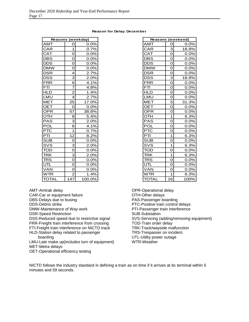### **Reason for Delay: December**

|              | Reasons (weekday)         |        |              |             | Reasons (weekend) |
|--------------|---------------------------|--------|--------------|-------------|-------------------|
| <b>AMT</b>   | 0                         | 0.0%   | <b>AMT</b>   | 0           | 0.0%              |
| <b>CAR</b>   | 1                         | 0.7%   | CAR          | 3           | 18.8%             |
| <b>CAT</b>   | 0                         | 0.0%   | <b>CAT</b>   | $\Omega$    | 0.0%              |
| <b>DBS</b>   | 0                         | 0.0%   | <b>DBS</b>   | 0           | 0.0%              |
| <b>DDS</b>   | 0                         | 0.0%   | <b>DDS</b>   | $\mathbf 0$ | 0.0%              |
| <b>DMW</b>   | 0                         | 0.0%   | <b>DMW</b>   | 0           | 0.0%              |
| <b>DSR</b>   | 4                         | 2.7%   | <b>DSR</b>   | $\mathbf 0$ | 0.0%              |
| <b>DSS</b>   | $\overline{3}$            | 2.0%   | <b>DSS</b>   | 3           | 18.8%             |
| FRR          | 6                         | 4.1%   | <b>FRR</b>   | $\Omega$    | 0.0%              |
| <b>FTI</b>   | $\overline{7}$            | 4.8%   | <b>FTI</b>   | 0           | 0.0%              |
| <b>HLD</b>   | $\overline{2}$            | 1.4%   | <b>HLD</b>   | 0           | 0.0%              |
| LMU          | $\overline{4}$            | 2.7%   | LMU          | 0           | 0.0%              |
| MET          | 25                        | 17.0%  | <b>MET</b>   | 5           | 31.3%             |
| <b>OET</b>   | O                         | 0.0%   | <b>OET</b>   | 0           | 0.0%              |
| <b>OPR</b>   | 57                        | 38.8%  | <b>OPR</b>   | $\mathbf 0$ | 0.0%              |
| <b>OTH</b>   | 8                         | 5.4%   | <b>OTH</b>   | 1           | 6.3%              |
| <b>PAS</b>   | $\overline{3}$            | 2.0%   | <b>PAS</b>   | $\mathbf 0$ | 0.0%              |
| <b>POL</b>   | $\overline{6}$            | 4.1%   | <b>POL</b>   | $\mathbf 0$ | 0.0%              |
| PTC          | 1                         | 0.7%   | <b>PTC</b>   | $\mathbf 0$ | 0.0%              |
| PTI          | 12                        | 8.2%   | PTI          | 1           | 6.3%              |
| <b>SUB</b>   | 0                         | 0.0%   | <b>SUB</b>   | $\mathbf 0$ | 0.0%              |
| SVS          | $\overline{\overline{3}}$ | 2.0%   | SVS          | 1           | 6.3%              |
| <b>TOD</b>   | $\overline{O}$            | 0.0%   | <b>TOD</b>   | $\mathbf 0$ | 0.0%              |
| <b>TRK</b>   | $\overline{3}$            | 2.0%   | <b>TRK</b>   | 1           | 6.3%              |
| <b>TRS</b>   | $\overline{O}$            | 0.0%   | <b>TRS</b>   | $\Omega$    | 0.0%              |
| UTL          | 0                         | 0.0%   | UTL          | $\mathbf 0$ | 0.0%              |
| <b>VAN</b>   | 0                         | 0.0%   | <b>VAN</b>   | $\mathbf 0$ | 0.0%              |
| <b>WTR</b>   | $\overline{2}$            | 1.4%   | <b>WTR</b>   | 1           | 6.3%              |
| <b>TOTAL</b> | 147                       | 100.0% | <b>TOTAL</b> | 16          | 100%              |

AMT-Amtrak delay

CAR-Car or equipment failure

DBS-Delays due to busing DDS-Debris strike

DMW-Maintenance of Way work

DSR-Speed Restriction

DSS-Reduced speed due to restrictive signal

FRR-Freight train interference from crossing

FTI-Freight train interference on NICTD track HLD-Station delay related to passenger

boarding

LMU-Late make up(includes turn of equipment) MET-Metra delays

OET-Operational efficiency testing

|                                         |                           | <b>Reasons (weekend)</b> |
|-----------------------------------------|---------------------------|--------------------------|
| AMT                                     | $\mathbf 0$               | 0.0%                     |
|                                         | $\overline{3}$            | 18.8%                    |
| CAR<br>CAT                              | $\frac{1}{\overline{a}}$  | 0.0%                     |
|                                         | $\overline{0}$            | 0.0%                     |
| <u>DBS<br/>DBS</u><br>DDS<br>DMW        | $\overline{0}$            | 0.0%                     |
|                                         |                           | 0.0%                     |
| <u>DSR</u>                              | $\frac{0}{0}$             | 0.0%                     |
| $\overline{\text{DSS}}$                 | 3                         | 18.8%                    |
| <b>FRR</b>                              | $\overline{0}$            | $0.0\%$                  |
|                                         | 0                         | 0.0%                     |
| $\frac{\overline{FTI}}{\overline{HLD}}$ | $\overline{0}$            | 0.0%                     |
| LMU                                     | 0                         | 0.0%                     |
| <u>MET</u>                              | 5                         | 31.3%                    |
| OET                                     | $\mathbf 0$               | 0.0%                     |
| <b>OPR</b>                              | $\overline{0}$            | 0.0%                     |
| OTH                                     | $\overline{1}$            | 6.3%                     |
| PAS                                     | $\overline{\overline{o}}$ | 0.0%                     |
| POL                                     | 0                         | 0.0%                     |
| <b>PTC</b>                              | O                         | 0.0%                     |
| $\mathsf{PT}$                           | 1                         | 6.3%                     |
| <u>SUB</u>                              | $\overline{0}$            | 0.0%                     |
|                                         |                           | 6.3%                     |
|                                         | $\frac{1}{0}$             | $0.0\%$                  |
| SVS<br>TOD<br>TRK                       |                           | 6.3%                     |
| <b>TRS</b>                              | $\frac{1}{0}$             | 0.0%                     |
| $\overline{\text{UTL}}$                 | $\overline{0}$            | 0.0%                     |
| VAN                                     | $\overline{0}$            | 0.0%                     |
| WTR                                     | 1                         | 6.3%                     |
| TOTAL                                   | 16                        | 100%                     |

OPR-Operational delay OTH-Other delays PAS-Passenger boarding PTC-Positive train control delays PTI-Passenger train interference SUB-Substation SVS-Servicing (adding/removing equipment) TOD-Train order delay TRK-Track/wayside malfunction TRS-Trespasser on incident. UTL-Utility power outage WTR-Weather

NICTD follows the industry standard in defining a train as on time if it arrives at its terminal within 5 minutes and 59 seconds.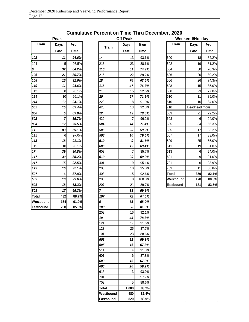# **Westbound 164 91.9%** *9 65 68.0%* **Eastbound 268 85.3%** *109 38 81.3%*

|                 | Peak |        |                | <b>Off-Peak</b> |             |              | Weekend/Holiday |      |
|-----------------|------|--------|----------------|-----------------|-------------|--------------|-----------------|------|
| <b>Train</b>    | Days | $%$ on |                | Days            | $%$ on      | <b>Train</b> | Days            | % on |
|                 | Late | Time   | <b>Train</b>   | Late            | <b>Time</b> |              | Late            |      |
| 102             | 11   | 94.6%  | 14             | 13              | 93.6%       | 600          | 18              |      |
| 104             | 5    | 97.5%  | 216            | 23              | 88.6%       | 502          | 19              |      |
| 6               | 32   | 84.2%  | 116            | 51              | 74.9%       | 504          | 30              |      |
| 106             | 21   | 89.7%  | 216            | 22              | 89.2%       | 606          | 20              |      |
| 108             | 15   | 92.6%  | 18             | 76              | 62.6%       | 506          | 26              |      |
| 110             | 11   | 94.6%  | 118            | 47              | 76.7%       | 608          | 15              |      |
| 112             | 8    | 96.1%  | 218            | 15              | 92.6%       | 508          | 23              |      |
| 114             | 10   | 95.1%  | 20             | 57              | 71.9%       | 610          | 11              |      |
| 214             | 12   | 94.1%  | 220            | 18              | 91.0%       | 510          | 16              |      |
| 502             | 15   | 69.4%  | 420            | 13              | 92.8%       | 710          | Deadhead move   |      |
| 600             | 5    | 89.8%  | 22             | 43              | 78.8%       | 503          | 21              |      |
| 802             | 7    | 85.7%  | 422            | 7               | 96.2%       | 603          | 6               |      |
| 804             | 12   | 75.5%  | 504            | 14              | 71.4%       | 605          | 34              |      |
| 11              | 83   | 59.1%  | 506            | 20              | 59.2%       | 505          | 17              |      |
| .<br>111        | 6    | 97.0%  | 508            | 10              | 79.6%       | 507          | 17              |      |
| 113             | 18   | 91.1%  | 510            | 9               | 81.6%       | 509          | 35              |      |
| 115             | 10   | 95.1%  | 606            | 15              | 69.4%       | 511          | 19              |      |
| 17 <sub>2</sub> | 39   | 80.8%  | 608            | 7               | 85.7%       | 613          | 6               |      |
| 117             | 30   | 85.2%  | 610            | 20              | 59.2%       | 601          | 9               |      |
| 217             | 15   | 92.5%  | 401            | 9               | 95.1%       | 701          | 6               |      |
| 119             | 16   | 92.1%  | 203            | 10              | 95.0%       | 703          | 11              |      |
| 507             | 6    | 87.8%  | 403            | 15              | 92.6%       | Total        | 359             |      |
| 509             | 10   | 79.6%  | 205            | 0               | 100.0%      | Westbound    | 178             |      |
| 801             | 18   | 63.3%  | 207            | 21              | 89.7%       | Eastbound    | 181             |      |
| 803             | 17   | 65.3%  | $\overline{7}$ | 83              | 59.1%       |              |                 |      |
| Total           | 432  | 88.7%  | 107            | 72              | 64.5%       |              |                 |      |
| Westbound       | 164  | 91.9%  | 9              | 65              | 68.0%       |              |                 |      |
| Eastbound       | 268  | 85.3%  | 109            | 38              | 81.3%       |              |                 |      |
|                 |      |        | 209            | 16              | 92.1%       |              |                 |      |
|                 |      |        | 19             | 44              | 78.3%       |              |                 |      |
|                 |      |        | 121            | 17              | 91.6%       |              |                 |      |
|                 |      |        | 123            | 25              | 87.7%       |              |                 |      |
|                 |      |        | 101            | 23              | 88.6%       |              |                 |      |
|                 |      |        | 503            | 11              | 59.3%       |              |                 |      |
|                 |      |        | 505            | 16              | 67.3%       |              |                 |      |
|                 |      |        | 511            | 4               | 91.8%       |              |                 |      |
|                 |      |        | 601            | $\,6$           | 87.8%       |              |                 |      |
|                 |      |        | 603            | 16              | 67.3%       |              |                 |      |
|                 |      |        | 605            | 20              | 59.2%       |              |                 |      |
|                 |      |        | 613            | 3               | 93.9%       |              |                 |      |
|                 |      |        | 701            | $\mathbf{1}$    | 97.7%       |              |                 |      |
|                 |      |        | 703            | 5               | 88.6%       |              |                 |      |
|                 |      |        | Total          | 1,000           | 83.2%       |              |                 |      |
|                 |      |        | Westbound      | 480             | 82.4%       |              |                 |      |
|                 |      |        | Eastbound      | 520             | 83.9%       |              |                 |      |

|           | Weekend/Holiday |       |
|-----------|-----------------|-------|
| Train     | Days            | % on  |
|           | Late            | Time  |
| 600       | 18              | 82.2% |
| 502       | 19              | 81.2% |
| 504       | 30              | 70.3% |
| 606       | 20              | 80.2% |
| 506       | 26              | 74.3% |
| 608       | 15              | 85.0% |
| 508       | 23              | 77.0% |
| 610       | 11              | 89.0% |
| 510       | 16              | 84.0% |
| 710       | Deadhead move   |       |
| 503       | 21              | 79.2% |
| 603       | 6               | 94.0% |
| 605       | 34              | 66.3% |
| 505       | 17              | 83.2% |
| 507       | 17              | 83.0% |
| 509       | 35              | 65.0% |
| 511       | 19              | 81.0% |
| 613       | 6               | 94.0% |
| 601       | 9               | 91.0% |
| 701       | 6               | 93.9% |
| 703       | 11              | 88.8% |
| Total     | 359             | 82.1% |
| Westbound | 178             | 80.3% |
| Eastbound | 181             | 83.5% |

### **Cumulative Percent on Time Thru December, 2020**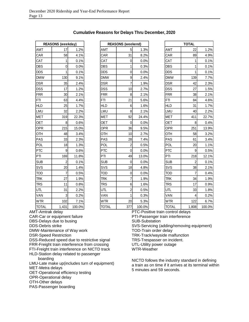|              | REASONS (weekday) |         |
|--------------|-------------------|---------|
| AMT          | 17                | 1.2%    |
| CAR          | 58                | 4.1%    |
| CAT          | 1                 | 0.1%    |
| <b>DBS</b>   | 0                 | 0.0%    |
| <b>DDS</b>   | 1                 | 0.1%    |
| <b>DMW</b>   | 130               | 9.1%    |
| <b>DSR</b>   | 35                | 2.4%    |
| <b>DSS</b>   | 17                | 1.2%    |
| <b>FRR</b>   | 30                | 2.1%    |
| FTI          | 63                | 4.4%    |
| <b>HLD</b>   | 25                | 1.7%    |
| LMU          | 32                | $2.2\%$ |
| <b>MET</b>   | 319               | 22.3%   |
| <b>OET</b>   | 8                 | 0.6%    |
| OPR          | 215               | 15.0%   |
| OTH          | 48                | 3.4%    |
| PAS          | 33                | 2.3%    |
| POL          | 18                | 1.3%    |
| <b>PTC</b>   | 9                 | 0.6%    |
| PTI          | 169               | 11.8%   |
| <b>SUB</b>   | $\overline{c}$    | 0.1%    |
| SVS          | 20                | 1.4%    |
| <b>TOD</b>   | 7                 | 0.5%    |
| <b>TRK</b>   | 27                | 1.9%    |
| <b>TRS</b>   | 11                | 0.8%    |
| <b>UTL</b>   | 31                | 2.2%    |
| VAN          | 3                 | 0.2%    |
| <b>WTR</b>   | 102               | 7.1%    |
| <b>TOTAL</b> | 1,431             | 100.0%  |

### **Cumulative Reasons for Delays Thru December, 2020**

|    | <b>REASONS (weekday)</b> |        |              | <b>REASONS</b> (weekend) |        |              | <b>TOTAL</b>             |
|----|--------------------------|--------|--------------|--------------------------|--------|--------------|--------------------------|
|    | 17                       | 1.2%   | AMT          | 5                        | 1.3%   | AMT          | $\overline{c}$           |
|    | 58                       | 4.1%   | CAR          | 31                       | 8.2%   | CAR          | 8                        |
|    | 1                        | 0.1%   | CAT          | $\Omega$                 | 0.0%   | CAT          |                          |
|    | 0                        | 0.0%   | <b>DBS</b>   | 1                        | 0.3%   | <b>DBS</b>   |                          |
|    | 1                        | 0.1%   | <b>DDS</b>   | 0                        | 0.0%   | <b>DDS</b>   |                          |
|    | 130                      | 9.1%   | <b>DMW</b>   | 9                        | 2.4%   | <b>DMW</b>   | 13                       |
|    | 35                       | 2.4%   | <b>DSR</b>   | $\overline{7}$           | 1.9%   | <b>DSR</b>   | $\overline{\mathcal{L}}$ |
|    | 17                       | 1.2%   | <b>DSS</b>   | 10                       | 2.7%   | <b>DSS</b>   | $\overline{\mathbf{c}}$  |
|    | 30                       | 2.1%   | <b>FRR</b>   | 8                        | 2.1%   | <b>FRR</b>   | 3                        |
|    | 63                       | 4.4%   | <b>FTI</b>   | 21                       | 5.6%   | <b>FTI</b>   | 8                        |
|    | 25                       | 1.7%   | <b>HLD</b>   | 6                        | 1.6%   | <b>HLD</b>   | 3                        |
|    | 32                       | 2.2%   | LMU          | 8                        | 2.1%   | LMU          | $\overline{\mathcal{L}}$ |
|    | 319                      | 22.3%  | <b>MET</b>   | 92                       | 24.4%  | <b>MET</b>   | 41                       |
|    | 8                        | 0.6%   | <b>OET</b>   | $\mathbf{0}$             | 0.0%   | <b>OET</b>   |                          |
|    | 215                      | 15.0%  | OPR          | 36                       | 9.5%   | OPR          | 25                       |
|    | 48                       | 3.4%   | OTH          | 10                       | 2.7%   | <b>OTH</b>   | 5                        |
|    | 33                       | 2.3%   | PAS          | 28                       | 7.4%   | PAS          | 6                        |
|    | 18                       | 1.3%   | POL          | $\overline{c}$           | 0.5%   | POL          | $\overline{c}$           |
|    | 9                        | 0.6%   | <b>PTC</b>   | $\mathbf 0$              | 0.0%   | <b>PTC</b>   |                          |
|    | 169                      | 11.8%  | PTI          | 49                       | 13.0%  | PTI          | 21                       |
|    | $\overline{2}$           | 0.1%   | <b>SUB</b>   | $\mathbf 0$              | 0.0%   | <b>SUB</b>   |                          |
|    | 20                       | 1.4%   | SVS          | 18                       | 4.8%   | SVS          | 3                        |
|    | $\overline{7}$           | 0.5%   | <b>TOD</b>   | $\mathbf 0$              | 0.0%   | <b>TOD</b>   |                          |
|    | 27                       | 1.9%   | TRK          | 7                        | 1.9%   | TRK          | 3                        |
|    | 11                       | 0.8%   | <b>TRS</b>   | 6                        | 1.6%   | <b>TRS</b>   | 1                        |
|    | 31                       | 2.2%   | UTL          | $\overline{c}$           | 0.5%   | UTL          | 3                        |
|    | 3                        | 0.2%   | VAN          | 1                        | 0.3%   | VAN          |                          |
|    | 102                      | 7.1%   | <b>WTR</b>   | 20                       | 5.3%   | <b>WTR</b>   | 12                       |
| ١L | 1,431                    | 100.0% | <b>TOTAL</b> | 377                      | 100.0% | <b>TOTAL</b> | 1,80                     |

|                       | <b>REASONS (weekday)</b> |        |            | <b>REASONS (weekend)</b> |        |                                   | <b>TOTAL</b> |        |
|-----------------------|--------------------------|--------|------------|--------------------------|--------|-----------------------------------|--------------|--------|
| AMT                   | 17                       | 1.2%   | AMT        | 5                        | 1.3%   | AMT                               | 22           | 1.2%   |
| CAR                   | 58                       | 4.1%   | CAR        | 31                       | 8.2%   | CAR                               | 89           | 4.9%   |
| CAT                   | 1                        | 0.1%   | <b>CAT</b> | 0                        | 0.0%   | CAT                               | 1            | 0.1%   |
| DBS                   | 0                        | 0.0%   | <b>DBS</b> | 1                        | 0.3%   | <b>DBS</b>                        |              | 0.1%   |
| DDS                   | 1                        | 0.1%   | <b>DDS</b> | 0                        | 0.0%   | <b>DDS</b>                        |              | 0.1%   |
| <b>DMW</b>            | 130                      | 9.1%   | <b>DMW</b> | 9                        | 2.4%   | <b>DMW</b>                        | 139          | 7.7%   |
| DSR                   | 35                       | 2.4%   | <b>DSR</b> | 7                        | 1.9%   | <b>DSR</b>                        | 42           | 2.3%   |
| DSS                   | 17                       | 1.2%   | <b>DSS</b> | 10                       | 2.7%   | <b>DSS</b>                        | 27           | 1.5%   |
| FRR                   | 30                       | 2.1%   | <b>FRR</b> | 8                        | 2.1%   | <b>FRR</b>                        | 38           | 2.1%   |
| FTI                   | 63                       | 4.4%   | <b>FTI</b> | 21                       | 5.6%   | <b>FTI</b>                        | 84           | 4.6%   |
| <b>HLD</b>            | 25                       | 1.7%   | <b>HLD</b> | 6                        | 1.6%   | <b>HLD</b>                        | 31           | 1.7%   |
| LMU                   | 32                       | 2.2%   | LMU        | 8                        | 2.1%   | LMU                               | 40           | 2.2%   |
| MET                   | 319                      | 22.3%  | <b>MET</b> | 92                       | 24.4%  | <b>MET</b>                        | 411          | 22.7%  |
| OET                   | 8                        | 0.6%   | <b>OET</b> | $\Omega$                 | 0.0%   | <b>OET</b>                        | 8            | 0.4%   |
| OPR                   | 215                      | 15.0%  | OPR        | 36                       | 9.5%   | OPR                               | 251          | 13.9%  |
| OTH                   | 48                       | 3.4%   | OTH        | 10                       | 2.7%   | OTH                               | 58           | 3.2%   |
| PAS                   | 33                       | 2.3%   | PAS        | 28                       | 7.4%   | PAS                               | 61           | 3.4%   |
| POL                   | 18                       | 1.3%   | POL        | 2                        | 0.5%   | <b>POL</b>                        | 20           | 1.1%   |
| PTC                   | 9                        | 0.6%   | <b>PTC</b> | 0                        | 0.0%   | <b>PTC</b>                        | 9            | 0.5%   |
| PTI                   | 169                      | 11.8%  | PTI        | 49                       | 13.0%  | PTI                               | 218          | 12.1%  |
| <b>SUB</b>            | $\overline{c}$           | 0.1%   | <b>SUB</b> | 0                        | 0.0%   | <b>SUB</b>                        | 2            | 0.1%   |
| SVS                   | 20                       | 1.4%   | SVS        | 18                       | 4.8%   | SVS                               | 38           | 2.1%   |
| TOD                   | 7                        | 0.5%   | TOD        | 0                        | 0.0%   | <b>TOD</b>                        | 7            | 0.4%   |
| <b>TRK</b>            | 27                       | 1.9%   | <b>TRK</b> | 7                        | 1.9%   | <b>TRK</b>                        | 34           | 1.9%   |
| <b>TRS</b>            | 11                       | 0.8%   | <b>TRS</b> | 6                        | 1.6%   | <b>TRS</b>                        | 17           | 0.9%   |
| UTL                   | 31                       | 2.2%   | UTL        | 2                        | 0.5%   | <b>UTL</b>                        | 33           | 1.8%   |
| VAN                   | 3                        | 0.2%   | VAN        | 1                        | 0.3%   | VAN                               | 4            | 0.2%   |
| <b>WTR</b>            | 102                      | 7.1%   | <b>WTR</b> | 20                       | 5.3%   | <b>WTR</b>                        | 122          | 6.7%   |
| <b>TOTAL</b>          | 1,431                    | 100.0% | TOTAL      | 377                      | 100.0% | <b>TOTAL</b>                      | 1,808        | 100.0% |
| <b>T-Amtrak delay</b> |                          |        |            |                          |        | PTC-Positive train control delays |              |        |

AMT-Amtrak delay

CAR-Car or equipment failure

DBS-Delays due to busing

DDS-Debris strike

DMW-Maintenance of Way work

DSR-Speed Restriction

DSS-Reduced speed due to restrictive signal

FRR-Freight train interference from crossing

FTI-Freight train interference on NICTD track

HLD-Station delay related to passenger

boarding

LMU-Late make up(includes turn of equipment)

MET-Metra delays

OET-Operational efficiency testing

OPR-Operational delay

OTH-Other delays

PAS-Passenger boarding

PTI-Passenger train interference

SUB-Substation

SVS-Servicing (adding/removing equipment)

TOD-Train order delay

TRK-Track/wayside malfunction

TRS-Trespasser on incident.

UTL-Utility power outage

WTR-Weather

NICTD follows the industry standard in defining a train as on time if it arrives at its terminal within 5 minutes and 59 seconds.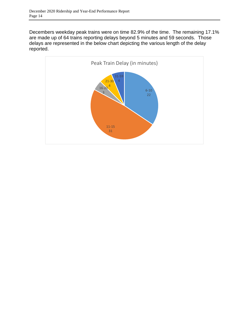Decembers weekday peak trains were on time 82.9% of the time. The remaining 17.1% are made up of 64 trains reporting delays beyond 5 minutes and 59 seconds. Those delays are represented in the below chart depicting the various length of the delay reported.

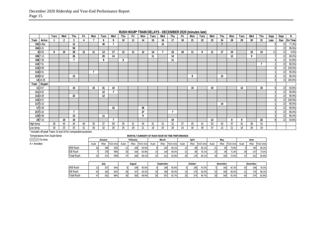|           |        | Tues               | Wed            | Thu | Fri | Mon | Tues | Wed | Thu | Fri | Mon | Tues | Wed | Thu | Fri | Mon | Tues | Wed | Thu | Mon | Tues | Wed | Thu | Days | Days | %       |
|-----------|--------|--------------------|----------------|-----|-----|-----|------|-----|-----|-----|-----|------|-----|-----|-----|-----|------|-----|-----|-----|------|-----|-----|------|------|---------|
| Train     | Arrive |                    | 2              | 3   |     |     |      | 9   | 10  | 11  | 14  | 15   | 16  | 17  | 18  | 21  | 22   | 23  | 24  | 28  | 29   | 30  | 31  | Late | Ran  | On Time |
| 102 5:48a |        |                    |                | 12  |     |     | 40   |     |     |     |     |      | 12  |     |     |     |      |     | -   |     |      |     |     |      | 22   | 77.3%   |
| 104 6:31  |        |                    |                | 59  |     |     |      |     |     |     |     |      |     |     |     |     |      |     |     |     |      |     |     |      | 22   | 95.5%   |
| 6 6:55    |        | 8                  | 10             | 29  | 12  | 11  | 13   | 17  | 12  | 11  | 12  | 14   | 7   | 15  | 18  | 11  | 8    | 11  | 17  | 10  |      | 10  | 13  | 21   | 22   | 4.5%    |
| 106 7:13  |        |                    |                | 26  |     |     | 20   | 14  |     |     |     | 11   |     | 14  |     |     |      |     |     | 12  |      | 9   |     |      | 22   | 68.2%   |
| 108 7:35  |        |                    |                | ъ,  |     |     | 9    |     | 9   |     |     |      |     | 11  |     |     |      |     |     |     |      |     |     |      | 22   | 81.8%   |
| 110 7:51  |        |                    |                |     |     |     |      |     |     |     |     |      |     |     |     |     |      |     |     |     |      |     |     |      | 22   | 95.5%   |
| 112 8:08  |        |                    |                |     |     |     |      |     |     |     |     |      |     |     |     |     |      |     |     |     |      |     |     |      | 22   | 100.0%  |
| 114 8:31  |        |                    |                |     |     |     |      |     |     |     |     |      |     |     |     |     |      |     |     |     |      |     |     |      | 22   | 95.5%   |
| 214 8:52  |        |                    |                | 12  |     |     |      |     |     |     |     |      |     |     |     | 8   |      |     | 12  |     |      |     |     |      | 22   | 86.4%   |
| 14 10:28  |        |                    |                |     |     |     |      |     |     |     |     |      |     |     |     |     |      |     |     |     |      |     |     |      | 22   | 100.0%  |
| Train     | Depart |                    |                |     |     |     |      |     |     |     |     |      |     |     |     |     |      |     |     |     |      |     |     |      |      |         |
| 11 3:57   |        |                    |                | 10  |     | 15  | 31   | 10  |     |     |     |      |     |     |     | 15  |      | 10  |     |     | 13   |     | 15  | 8    | 22   | 63.6%   |
| 111 4:02  |        |                    |                |     |     |     | 12   | -   |     |     |     |      |     |     |     |     |      |     |     |     |      |     |     |      | 22   | 90.9%   |
| 113 4:28  |        |                    |                | 22  |     |     | 12   |     |     |     |     |      |     |     |     |     |      |     |     |     |      |     |     |      | 22   | 90.9%   |
| 115 4:57  |        |                    |                |     |     |     |      |     |     |     |     |      |     |     |     |     |      |     |     |     |      |     |     |      | 22   | 100.0%  |
| 117 5:10  |        |                    |                |     |     |     |      |     |     |     |     |      |     |     |     |     |      |     | 14  |     |      |     |     |      | 22   | 95.5%   |
| 17 5:28   |        |                    |                |     |     |     |      | 15  |     |     | 36  |      |     |     |     |     |      |     |     |     |      |     |     |      | 22   | 90.9%   |
| 217 5:32  |        |                    |                | ъ,  |     |     |      |     |     |     | 27  |      |     | -   |     |     |      |     |     |     |      |     |     |      | 22   | 86.4%   |
| 119 5:58  |        |                    |                | 13  |     |     | 11   |     |     |     | 9   |      |     |     |     |     |      |     |     |     |      |     |     |      | 22   | 86.4%   |
| $19$ 7:10 |        |                    | 10             | 10  |     |     |      | г.  |     |     |     |      |     | 10  |     |     |      | 13  |     | 8   | 9    |     | 22  | R    | 22   | 63.6%   |
| High temp |        | 36                 | 45             | 44  | 46  | 35  | 37   | 50  | 55  | 51  | 34  | 31   | 31  | 31  | 37  | 45  | 41   | 53  | 43  | 37  | 31   | 38  | 31  |      |      |         |
| Low temp  |        | 30<br>. <i>. .</i> | 23<br>$\cdots$ | 25  | 31  | 30  | 32   | 28  | 25  | 28  | 21  | 18   | 25  | 28  | 24  | 30  | 36   | 37  | 13  | 21  | 16   | 28  | 19  |      |      |         |

**RUSH HOUR\* TRAIN DELAYS - DECEMBER 2020 (minutes late)**

\* Includes off-peak Trains 14 and 19 for comparative purposes

| Temperatures from South Bend |                   |       |         |          |       |          |          |       |       | MONTHLY SUMMARY OF RUSH HOUR ON TIME PERFORMANCE |       |      |          |                 |      |          |       |      |          |
|------------------------------|-------------------|-------|---------|----------|-------|----------|----------|-------|-------|--------------------------------------------------|-------|------|----------|-----------------|------|----------|-------|------|----------|
| On time                      |                   |       | Januarv |          |       | February |          |       | March |                                                  |       | Apri |          |                 | May  |          |       | June |          |
| A = Annulled                 |                   | #Late | #Ran    | %On time | #Late | #Ran     | %On time | #Late | #Ran  | %On time                                         | #Late | #Ran | %On time | #Late           | #Ran | %On time | #Late | #Ran | %On time |
|                              | <b>WB Rush</b>    |       | 196     | 92%      |       | 180      | 93.9%    |       | 163   | 95.1%                                            |       | 88   | 84.1%    |                 |      | 73.8%    |       | 165  | 95.2%    |
|                              | <b>EB Rush</b>    |       | 176     | 96%      |       | 160      | 83.8%    |       | 148   | 90.5%                                            |       | 88   | 76.19    | 23 <sub>1</sub> |      | 71.3%    | 39    | 147  | 73.5%    |
|                              | <b>Total Rush</b> |       | 372     | 94%      | 37    | 340      | 89.1%    | 22    | 311   | 92.9%                                            |       | 1761 | 80.1%    |                 | 1601 | 72.5%    | 47    | 312  | 84.9%    |

|                   | July |     |     | August |     |       | September |     |       | October |     |       | November |     |       | December |     |       |
|-------------------|------|-----|-----|--------|-----|-------|-----------|-----|-------|---------|-----|-------|----------|-----|-------|----------|-----|-------|
| <b>WB Rush</b>    |      | 207 | 94% |        | 189 | 95.8% |           | 189 | 95.8% |         | 198 | 97.0% |          | 180 | 97.2% | 43       | 198 | 78.3% |
| <b>EB</b> Rush    |      | 184 | 82% |        | 167 | 83.2% |           | 168 | 89.3% | 14      | 176 | 92.0% | 24       | 160 | 85.0% | 21       | 176 | 88.1% |
| <b>Total Rush</b> |      | 391 | 88% |        | 356 | 89.9% | $\sim$    | 357 | 92.7% | 20      | 374 | 94.7% | 29       | 340 | 91.5% | 64       | 374 | 82.9% |